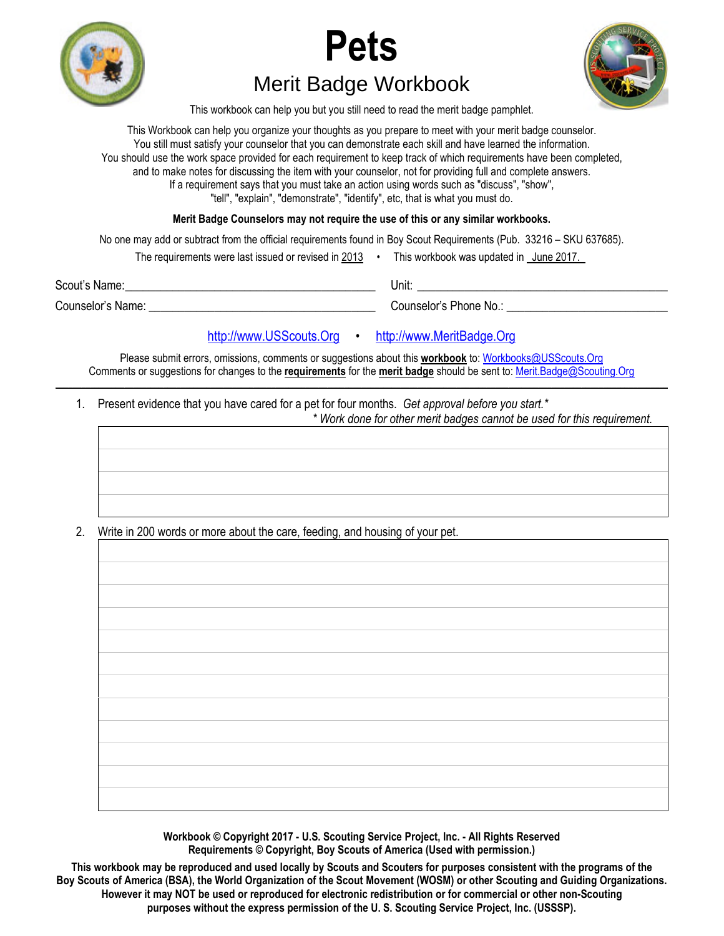





Merit Badge Workbook

This workbook can help you but you still need to read the merit badge pamphlet.

This Workbook can help you organize your thoughts as you prepare to meet with your merit badge counselor. You still must satisfy your counselor that you can demonstrate each skill and have learned the information. You should use the work space provided for each requirement to keep track of which requirements have been completed, and to make notes for discussing the item with your counselor, not for providing full and complete answers. If a requirement says that you must take an action using words such as "discuss", "show", "tell", "explain", "demonstrate", "identify", etc, that is what you must do.

**Merit Badge Counselors may not require the use of this or any similar workbooks.**

No one may add or subtract from the official requirements found in Boy Scout Requirements (Pub. 33216 – SKU 637685).

| The requirements were last issued or revised in 2013 |  | This workbook was updated in June 2017. |  |
|------------------------------------------------------|--|-----------------------------------------|--|
|------------------------------------------------------|--|-----------------------------------------|--|

Scout's Name: \_\_\_\_\_\_\_\_\_\_\_\_\_\_\_\_\_\_\_\_\_\_\_\_\_\_\_\_\_\_\_\_\_\_\_\_\_\_\_\_\_\_ Unit: \_\_\_\_\_\_\_\_\_\_\_\_\_\_\_\_\_\_\_\_\_\_\_\_\_\_\_\_\_\_\_\_\_\_\_\_\_\_\_\_\_\_

Counselor's Name: \_\_\_\_\_\_\_\_\_\_\_\_\_\_\_\_\_\_\_\_\_\_\_\_\_\_\_\_\_\_\_\_\_\_\_\_\_\_ Counselor's Phone No.: \_\_\_\_\_\_\_\_\_\_\_\_\_\_\_\_\_\_\_\_\_\_\_\_\_\_\_

## [http://www.USScouts.Org](http://www.usscouts.org/) • [http://www.MeritBadge.Org](http://www.meritbadge.org/)

Please submit errors, omissions, comments or suggestions about this **workbook** to: [Workbooks@USScouts.Org](mailto:Workbooks@usscouts.org?subject=Merit%20Badge%20Workbooks) Comments or suggestions for changes to the **requirements** for the **merit badge** should be sent to: [Merit.Badge@Scouting.Org](mailto:merit.badge@scouting.org) *\_\_\_\_\_\_\_\_\_\_\_\_\_\_\_\_\_\_\_\_\_\_\_\_\_\_\_\_\_\_\_\_\_\_\_\_\_\_\_\_\_\_\_\_\_\_\_\_\_\_\_\_\_\_\_\_\_\_\_\_\_\_\_\_\_\_\_\_\_\_\_\_\_\_\_\_\_\_\_\_\_\_\_\_\_\_\_\_\_\_\_\_\_\_\_\_\_\_\_\_\_\_\_\_\_\_\_\_\_\_\_\_\_\_\_\_\_\_\_\_\_\_\_\_\_\_\_\_\_\_\_\_\_\_\_\_\_\_\_\_\_\_* 

 1. Present evidence that you have cared for a pet for four months. *Get approval before you start.\* \* Work done for other merit badges cannot be used for this requirement.* 

2. Write in 200 words or more about the care, feeding, and housing of your pet.

**Workbook © Copyright 2017 - U.S. Scouting Service Project, Inc. - All Rights Reserved Requirements © Copyright, Boy Scouts of America (Used with permission.)** 

**This workbook may be reproduced and used locally by Scouts and Scouters for purposes consistent with the programs of the Boy Scouts of America (BSA), the World Organization of the Scout Movement (WOSM) or other Scouting and Guiding Organizations. However it may NOT be used or reproduced for electronic redistribution or for commercial or other non-Scouting purposes without the express permission of the U. S. Scouting Service Project, Inc. (USSSP).**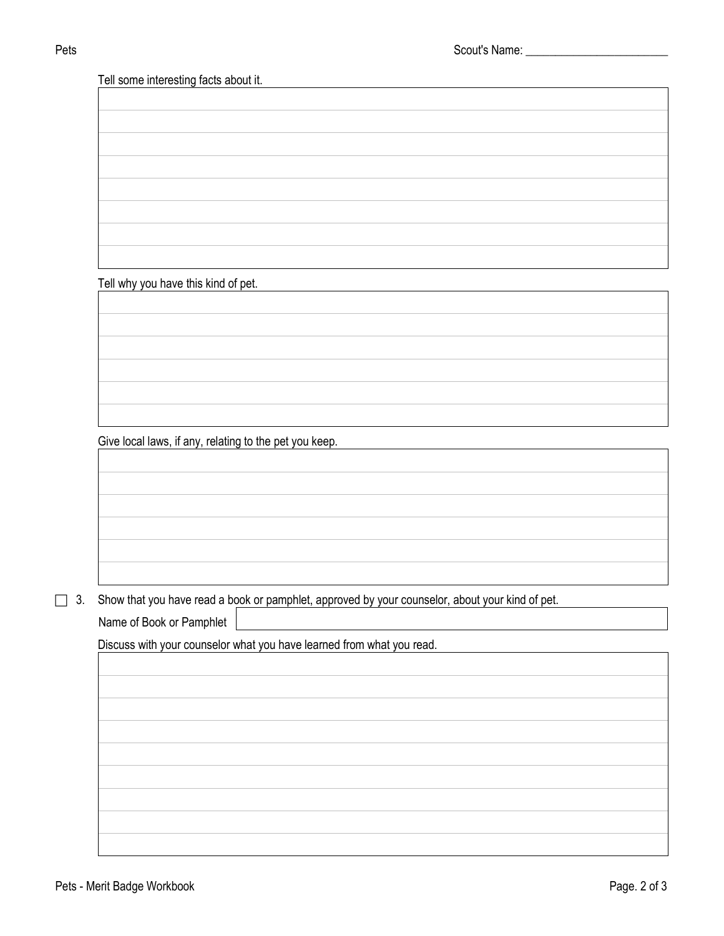Tell some interesting facts about it.

Tell why you have this kind of pet.

Give local laws, if any, relating to the pet you keep.

3. Show that you have read a book or pamphlet, approved by your counselor, about your kind of pet.

Name of Book or Pamphlet

Discuss with your counselor what you have learned from what you read.